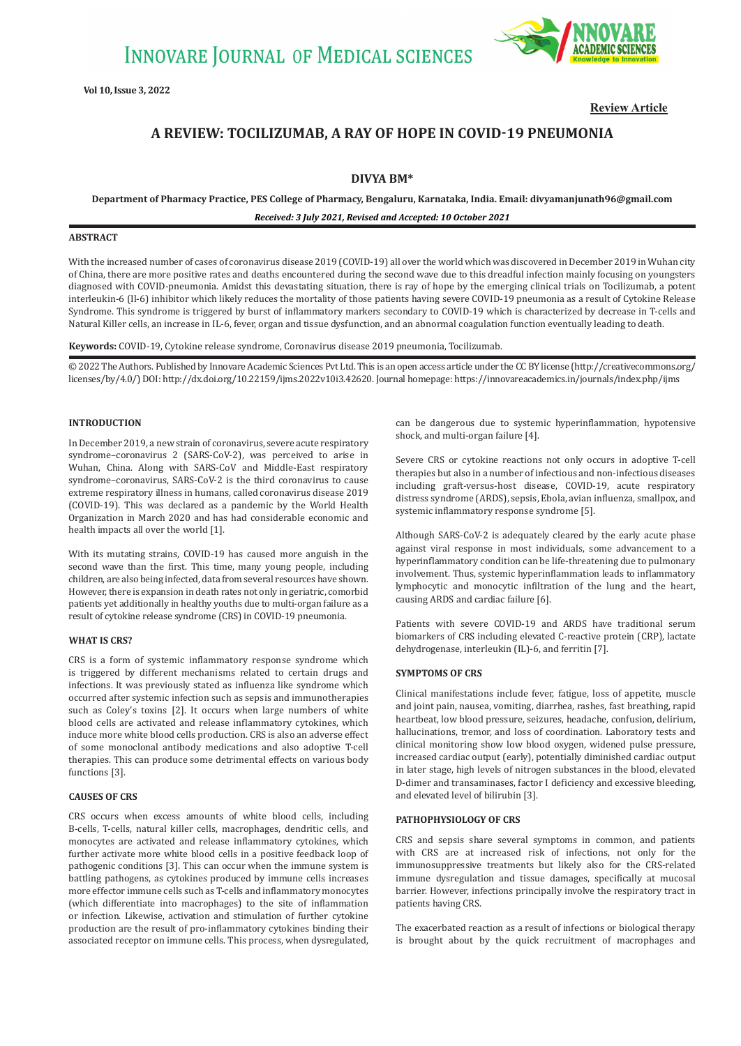

**Review Article**

# **A REVIEW: TOCILIZUMAB, A RAY OF HOPE IN COVID-19 PNEUMONIA**

## **DIVYA BM\***

**Department of Pharmacy Practice, PES College of Pharmacy, Bengaluru, Karnataka, India. Email: divyamanjunath96@gmail.com**

*Received: 3 July 2021, Revised and Accepted: 10 October 2021*

#### **ABSTRACT**

With the increased number of cases of coronavirus disease 2019 (COVID-19) all over the world which was discovered in December 2019 in Wuhan city of China, there are more positive rates and deaths encountered during the second wave due to this dreadful infection mainly focusing on youngsters diagnosed with COVID-pneumonia. Amidst this devastating situation, there is ray of hope by the emerging clinical trials on Tocilizumab, a potent interleukin-6 (Il-6) inhibitor which likely reduces the mortality of those patients having severe COVID-19 pneumonia as a result of Cytokine Release Syndrome. This syndrome is triggered by burst of inflammatory markers secondary to COVID-19 which is characterized by decrease in T-cells and Natural Killer cells, an increase in IL-6, fever, organ and tissue dysfunction, and an abnormal coagulation function eventually leading to death.

**Keywords:** COVID-19, Cytokine release syndrome, Coronavirus disease 2019 pneumonia, Tocilizumab.

© 2022 The Authors. Published by Innovare Academic Sciences Pvt Ltd. This is an open access article under the CC BY license (http://creativecommons.org/ licenses/by/4.0/) DOI: http://dx.doi.org/10.22159/ijms.2022v10i3.42620. Journal homepage: https://innovareacademics.in/journals/index.php/ijms

#### **INTRODUCTION**

In December 2019, a new strain of coronavirus, severe acute respiratory syndrome–coronavirus 2 (SARS-CoV-2), was perceived to arise in Wuhan, China. Along with SARS-CoV and Middle-East respiratory syndrome–coronavirus, SARS-CoV-2 is the third coronavirus to cause extreme respiratory illness in humans, called coronavirus disease 2019 (COVID-19). This was declared as a pandemic by the World Health Organization in March 2020 and has had considerable economic and health impacts all over the world [1].

With its mutating strains, COVID-19 has caused more anguish in the second wave than the first. This time, many young people, including children, are also being infected, data from several resources have shown. However, there is expansion in death rates not only in geriatric, comorbid patients yet additionally in healthy youths due to multi-organ failure as a result of cytokine release syndrome (CRS) in COVID-19 pneumonia.

#### **WHAT IS CRS?**

CRS is a form of systemic inflammatory response syndrome which is triggered by different mechanisms related to certain drugs and infections. It was previously stated as influenza like syndrome which occurred after systemic infection such as sepsis and immunotherapies such as Coley's toxins [2]. It occurs when large numbers of white blood cells are activated and release inflammatory cytokines, which induce more white blood cells production. CRS is also an adverse effect of some monoclonal antibody medications and also adoptive T-cell therapies. This can produce some detrimental effects on various body functions [3].

#### **CAUSES OF CRS**

CRS occurs when excess amounts of white blood cells, including B-cells, T-cells, natural killer cells, macrophages, dendritic cells, and monocytes are activated and release inflammatory cytokines, which further activate more white blood cells in a positive feedback loop of pathogenic conditions [3]. This can occur when the immune system is battling pathogens, as cytokines produced by immune cells increases more effector immune cells such as T-cells and inflammatory monocytes (which differentiate into macrophages) to the site of inflammation or infection. Likewise, activation and stimulation of further cytokine production are the result of pro-inflammatory cytokines binding their associated receptor on immune cells. This process, when dysregulated, can be dangerous due to systemic hyperinflammation, hypotensive shock, and multi-organ failure [4].

Severe CRS or cytokine reactions not only occurs in adoptive T-cell therapies but also in a number of infectious and non-infectious diseases including graft-versus-host disease, COVID-19, acute respiratory distress syndrome (ARDS), sepsis, Ebola, avian influenza, smallpox, and systemic inflammatory response syndrome [5].

Although SARS-CoV-2 is adequately cleared by the early acute phase against viral response in most individuals, some advancement to a hyperinflammatory condition can be life-threatening due to pulmonary involvement. Thus, systemic hyperinflammation leads to inflammatory lymphocytic and monocytic infiltration of the lung and the heart, causing ARDS and cardiac failure [6].

Patients with severe COVID-19 and ARDS have traditional serum biomarkers of CRS including elevated C-reactive protein (CRP), lactate dehydrogenase, interleukin (IL)-6, and ferritin [7].

### **SYMPTOMS OF CRS**

Clinical manifestations include fever, fatigue, loss of appetite, muscle and joint pain, nausea, vomiting, diarrhea, rashes, fast breathing, rapid heartbeat, low blood pressure, seizures, headache, confusion, delirium, hallucinations, tremor, and loss of coordination. Laboratory tests and clinical monitoring show low blood oxygen, widened pulse pressure, increased cardiac output (early), potentially diminished cardiac output in later stage, high levels of nitrogen substances in the blood, elevated D-dimer and transaminases, factor I deficiency and excessive bleeding, and elevated level of bilirubin [3].

#### **PATHOPHYSIOLOGY OF CRS**

CRS and sepsis share several symptoms in common, and patients with CRS are at increased risk of infections, not only for the immunosuppressive treatments but likely also for the CRS-related immune dysregulation and tissue damages, specifically at mucosal barrier. However, infections principally involve the respiratory tract in patients having CRS.

The exacerbated reaction as a result of infections or biological therapy is brought about by the quick recruitment of macrophages and